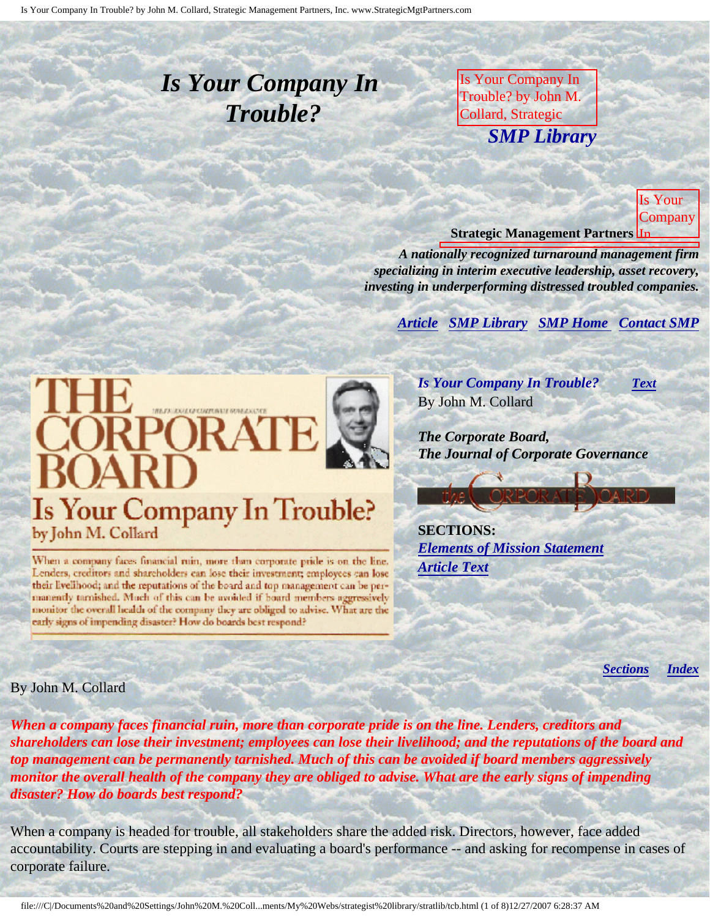# <span id="page-0-4"></span><span id="page-0-3"></span>*Is Your Company In Trouble?*

Is Your Company In Trouble? by John M. Collard, Strategic **SMP Library** Inc., published by The

Corporate Board Magazine, The

Journal of Corporate

Is Your **Company** 

Collard,

Management Partners,

Governance of the **Strategic Management Partners** In

*A nationally recognized turnaround management firm specializing in interim executive leadership, asset recovery, investing in underperforming distressed troubled companies.* 

> **[Article](#page-0-0) [SMP Library](http://members.aol.com/stratlib3/libindx.html) [SMP Home](http://members.aol.com/strategist/home.html#TOP) [Contact SMP](#page-6-0)** Magazine, The Journal of Corporate Corporate Corporate Corporate Corporate Corporate Corporate Corporate Corporate Corporate Corporate Corporate Corporate Corporate Corporate Corporate Corporate Corporate Corporate Corpora

<span id="page-0-0"></span>

<span id="page-0-2"></span>by John M. Collard

When a company faces financial ruin, more than corporate pride is on the line. Lenders, creditors and shareholders can lose their investment; employees can lose their livelihood; and the reputations of the board and top management can be permanently tarnished. Much of this can be avoided if board members aggressively monitor the overall health of the company they are obliged to advise. What are the early signs of impending disaster? How do boards best respond?

*Is Your Company In Trouble?* By John M. Collard

Text  $rac{\epsilon \lambda t}{\epsilon}$ 

by The

Journal of

Corporate Corporate Governance

Corporate Corporate Board Magazine, *The Corporate Board, The Journal of Corporate Governance*

**SECTIONS:** *[Elements of Mission Statement](#page-3-0) [Article Text](#page-0-1)*

*[Sections](#page-0-2) [Index](#page-0-3)*

<span id="page-0-1"></span>By John M. Collard

*When a company faces financial ruin, more than corporate pride is on the line. Lenders, creditors and shareholders can lose their investment; employees can lose their livelihood; and the reputations of the board and top management can be permanently tarnished. Much of this can be avoided if board members aggressively monitor the overall health of the company they are obliged to advise. What are the early signs of impending disaster? How do boards best respond?*

When a company is headed for trouble, all stakeholders share the added risk. Directors, however, face added accountability. Courts are stepping in and evaluating a board's performance -- and asking for recompense in cases of corporate failure.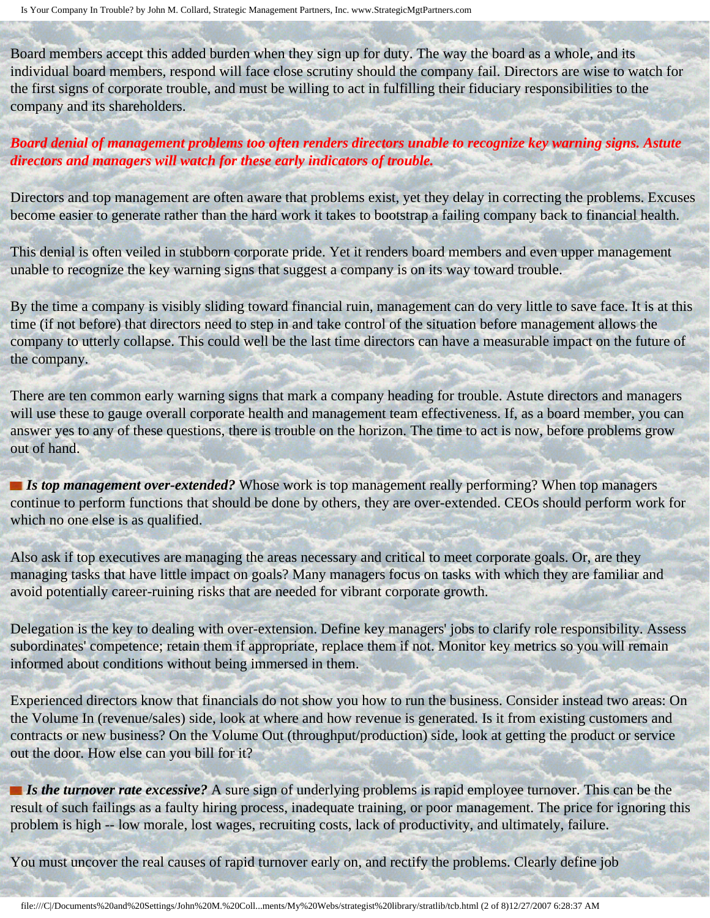Board members accept this added burden when they sign up for duty. The way the board as a whole, and its individual board members, respond will face close scrutiny should the company fail. Directors are wise to watch for the first signs of corporate trouble, and must be willing to act in fulfilling their fiduciary responsibilities to the company and its shareholders.

#### *Board denial of management problems too often renders directors unable to recognize key warning signs. Astute directors and managers will watch for these early indicators of trouble.*

Directors and top management are often aware that problems exist, yet they delay in correcting the problems. Excuses become easier to generate rather than the hard work it takes to bootstrap a failing company back to financial health.

This denial is often veiled in stubborn corporate pride. Yet it renders board members and even upper management unable to recognize the key warning signs that suggest a company is on its way toward trouble.

By the time a company is visibly sliding toward financial ruin, management can do very little to save face. It is at this time (if not before) that directors need to step in and take control of the situation before management allows the company to utterly collapse. This could well be the last time directors can have a measurable impact on the future of the company.

There are ten common early warning signs that mark a company heading for trouble. Astute directors and managers will use these to gauge overall corporate health and management team effectiveness. If, as a board member, you can answer yes to any of these questions, there is trouble on the horizon. The time to act is now, before problems grow out of hand.

**If** Is top management over-extended? Whose work is top management really performing? When top managers continue to perform functions that should be done by others, they are over-extended. CEOs should perform work for which no one else is as qualified.

Also ask if top executives are managing the areas necessary and critical to meet corporate goals. Or, are they managing tasks that have little impact on goals? Many managers focus on tasks with which they are familiar and avoid potentially career-ruining risks that are needed for vibrant corporate growth.

Delegation is the key to dealing with over-extension. Define key managers' jobs to clarify role responsibility. Assess subordinates' competence; retain them if appropriate, replace them if not. Monitor key metrics so you will remain informed about conditions without being immersed in them.

Experienced directors know that financials do not show you how to run the business. Consider instead two areas: On the Volume In (revenue/sales) side, look at where and how revenue is generated. Is it from existing customers and contracts or new business? On the Volume Out (throughput/production) side, look at getting the product or service out the door. How else can you bill for it?

■ *Is the turnover rate excessive?* A sure sign of underlying problems is rapid employee turnover. This can be the result of such failings as a faulty hiring process, inadequate training, or poor management. The price for ignoring this problem is high -- low morale, lost wages, recruiting costs, lack of productivity, and ultimately, failure.

You must uncover the real causes of rapid turnover early on, and rectify the problems. Clearly define job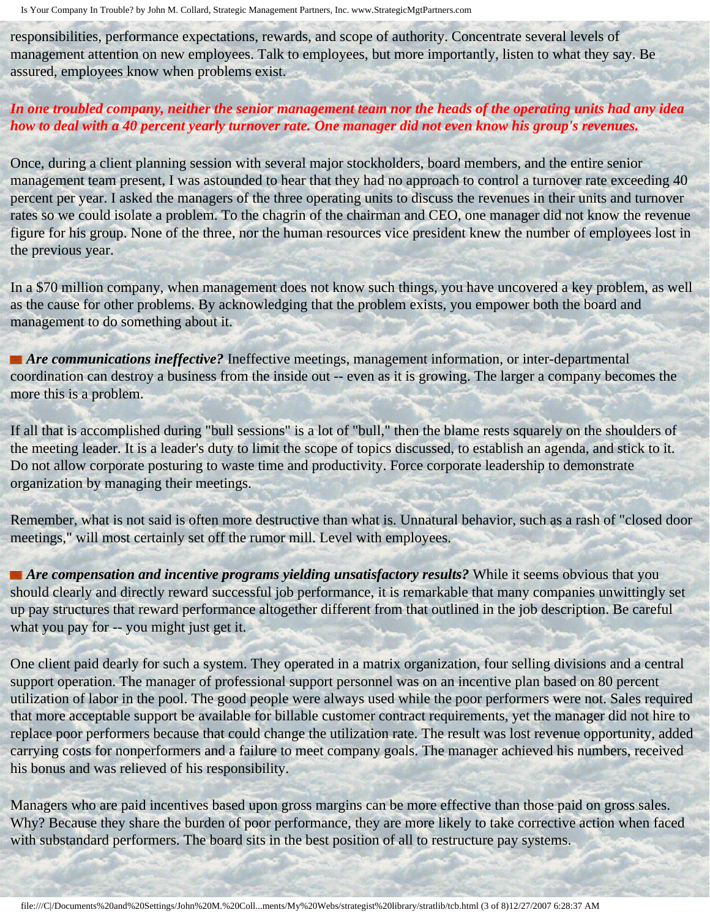responsibilities, performance expectations, rewards, and scope of authority. Concentrate several levels of management attention on new employees. Talk to employees, but more importantly, listen to what they say. Be assured, employees know when problems exist.

### *In one troubled company, neither the senior management team nor the heads of the operating units had any idea how to deal with a 40 percent yearly turnover rate. One manager did not even know his group's revenues.*

Once, during a client planning session with several major stockholders, board members, and the entire senior management team present, I was astounded to hear that they had no approach to control a turnover rate exceeding 40 percent per year. I asked the managers of the three operating units to discuss the revenues in their units and turnover rates so we could isolate a problem. To the chagrin of the chairman and CEO, one manager did not know the revenue figure for his group. None of the three, nor the human resources vice president knew the number of employees lost in the previous year.

In a \$70 million company, when management does not know such things, you have uncovered a key problem, as well as the cause for other problems. By acknowledging that the problem exists, you empower both the board and management to do something about it.

*Are communications ineffective?* Ineffective meetings, management information, or inter-departmental coordination can destroy a business from the inside out -- even as it is growing. The larger a company becomes the more this is a problem.

If all that is accomplished during "bull sessions" is a lot of "bull," then the blame rests squarely on the shoulders of the meeting leader. It is a leader's duty to limit the scope of topics discussed, to establish an agenda, and stick to it. Do not allow corporate posturing to waste time and productivity. Force corporate leadership to demonstrate organization by managing their meetings.

Remember, what is not said is often more destructive than what is. Unnatural behavior, such as a rash of "closed door meetings," will most certainly set off the rumor mill. Level with employees.

**Are compensation and incentive programs yielding unsatisfactory results?** While it seems obvious that you should clearly and directly reward successful job performance, it is remarkable that many companies unwittingly set up pay structures that reward performance altogether different from that outlined in the job description. Be careful what you pay for -- you might just get it.

One client paid dearly for such a system. They operated in a matrix organization, four selling divisions and a central support operation. The manager of professional support personnel was on an incentive plan based on 80 percent utilization of labor in the pool. The good people were always used while the poor performers were not. Sales required that more acceptable support be available for billable customer contract requirements, yet the manager did not hire to replace poor performers because that could change the utilization rate. The result was lost revenue opportunity, added carrying costs for nonperformers and a failure to meet company goals. The manager achieved his numbers, received his bonus and was relieved of his responsibility.

Managers who are paid incentives based upon gross margins can be more effective than those paid on gross sales. Why? Because they share the burden of poor performance, they are more likely to take corrective action when faced with substandard performers. The board sits in the best position of all to restructure pay systems.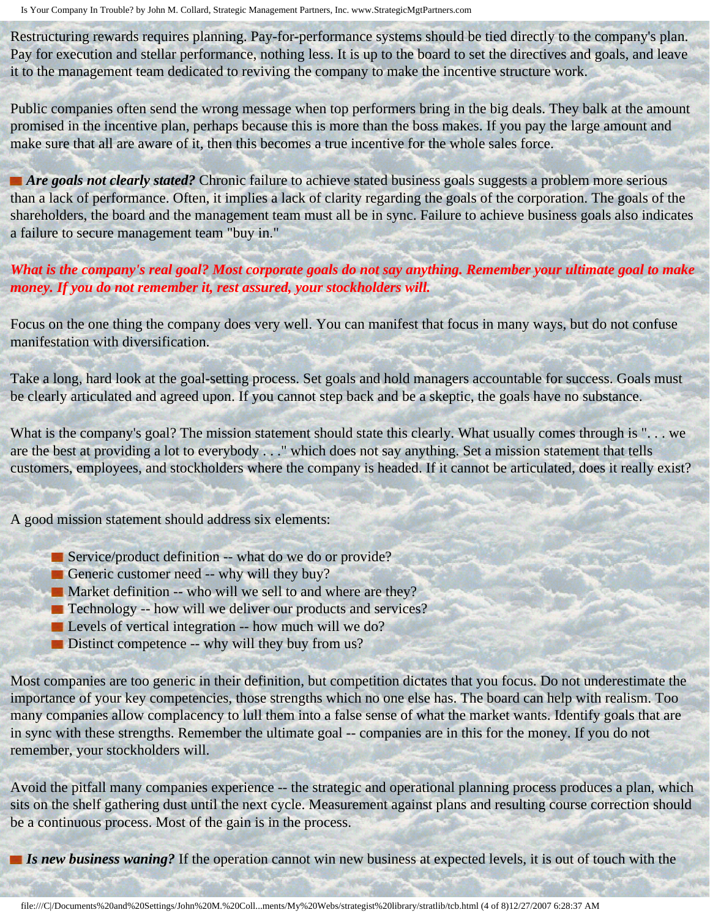Restructuring rewards requires planning. Pay-for-performance systems should be tied directly to the company's plan. Pay for execution and stellar performance, nothing less. It is up to the board to set the directives and goals, and leave it to the management team dedicated to reviving the company to make the incentive structure work.

Public companies often send the wrong message when top performers bring in the big deals. They balk at the amount promised in the incentive plan, perhaps because this is more than the boss makes. If you pay the large amount and make sure that all are aware of it, then this becomes a true incentive for the whole sales force.

*Are goals not clearly stated?* Chronic failure to achieve stated business goals suggests a problem more serious than a lack of performance. Often, it implies a lack of clarity regarding the goals of the corporation. The goals of the shareholders, the board and the management team must all be in sync. Failure to achieve business goals also indicates a failure to secure management team "buy in."

## *What is the company's real goal? Most corporate goals do not say anything. Remember your ultimate goal to make money. If you do not remember it, rest assured, your stockholders will.*

Focus on the one thing the company does very well. You can manifest that focus in many ways, but do not confuse manifestation with diversification.

Take a long, hard look at the goal-setting process. Set goals and hold managers accountable for success. Goals must be clearly articulated and agreed upon. If you cannot step back and be a skeptic, the goals have no substance.

What is the company's goal? The mission statement should state this clearly. What usually comes through is "... we are the best at providing a lot to everybody . . ." which does not say anything. Set a mission statement that tells customers, employees, and stockholders where the company is headed. If it cannot be articulated, does it really exist?

<span id="page-3-0"></span>A good mission statement should address six elements:

- Service/product definition -- what do we do or provide?
- Generic customer need -- why will they buy?
- Market definition -- who will we sell to and where are they?
- Technology -- how will we deliver our products and services?
- Levels of vertical integration -- how much will we do?
- Distinct competence -- why will they buy from us?

Most companies are too generic in their definition, but competition dictates that you focus. Do not underestimate the importance of your key competencies, those strengths which no one else has. The board can help with realism. Too many companies allow complacency to lull them into a false sense of what the market wants. Identify goals that are in sync with these strengths. Remember the ultimate goal -- companies are in this for the money. If you do not remember, your stockholders will.

Avoid the pitfall many companies experience -- the strategic and operational planning process produces a plan, which sits on the shelf gathering dust until the next cycle. Measurement against plans and resulting course correction should be a continuous process. Most of the gain is in the process.

■ *Is new business waning?* If the operation cannot win new business at expected levels, it is out of touch with the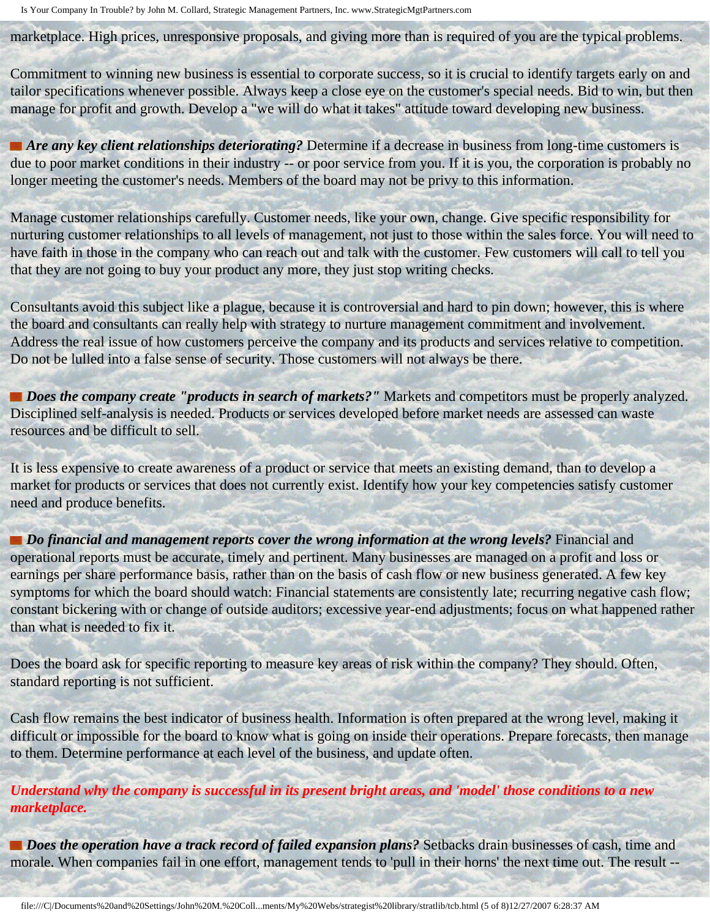marketplace. High prices, unresponsive proposals, and giving more than is required of you are the typical problems.

Commitment to winning new business is essential to corporate success, so it is crucial to identify targets early on and tailor specifications whenever possible. Always keep a close eye on the customer's special needs. Bid to win, but then manage for profit and growth. Develop a "we will do what it takes" attitude toward developing new business.

*Are any key client relationships deteriorating?* Determine if a decrease in business from long-time customers is due to poor market conditions in their industry -- or poor service from you. If it is you, the corporation is probably no longer meeting the customer's needs. Members of the board may not be privy to this information.

Manage customer relationships carefully. Customer needs, like your own, change. Give specific responsibility for nurturing customer relationships to all levels of management, not just to those within the sales force. You will need to have faith in those in the company who can reach out and talk with the customer. Few customers will call to tell you that they are not going to buy your product any more, they just stop writing checks.

Consultants avoid this subject like a plague, because it is controversial and hard to pin down; however, this is where the board and consultants can really help with strategy to nurture management commitment and involvement. Address the real issue of how customers perceive the company and its products and services relative to competition. Do not be lulled into a false sense of security. Those customers will not always be there.

*Does the company create "products in search of markets?"* Markets and competitors must be properly analyzed. Disciplined self-analysis is needed. Products or services developed before market needs are assessed can waste resources and be difficult to sell.

It is less expensive to create awareness of a product or service that meets an existing demand, than to develop a market for products or services that does not currently exist. Identify how your key competencies satisfy customer need and produce benefits.

*Do financial and management reports cover the wrong information at the wrong levels?* **Financial and** operational reports must be accurate, timely and pertinent. Many businesses are managed on a profit and loss or earnings per share performance basis, rather than on the basis of cash flow or new business generated. A few key symptoms for which the board should watch: Financial statements are consistently late; recurring negative cash flow; constant bickering with or change of outside auditors; excessive year-end adjustments; focus on what happened rather than what is needed to fix it.

Does the board ask for specific reporting to measure key areas of risk within the company? They should. Often, standard reporting is not sufficient.

Cash flow remains the best indicator of business health. Information is often prepared at the wrong level, making it difficult or impossible for the board to know what is going on inside their operations. Prepare forecasts, then manage to them. Determine performance at each level of the business, and update often.

### *Understand why the company is successful in its present bright areas, and 'model' those conditions to a new marketplace.*

*Does the operation have a track record of failed expansion plans?* **Setbacks drain businesses of cash, time and** morale. When companies fail in one effort, management tends to 'pull in their horns' the next time out. The result --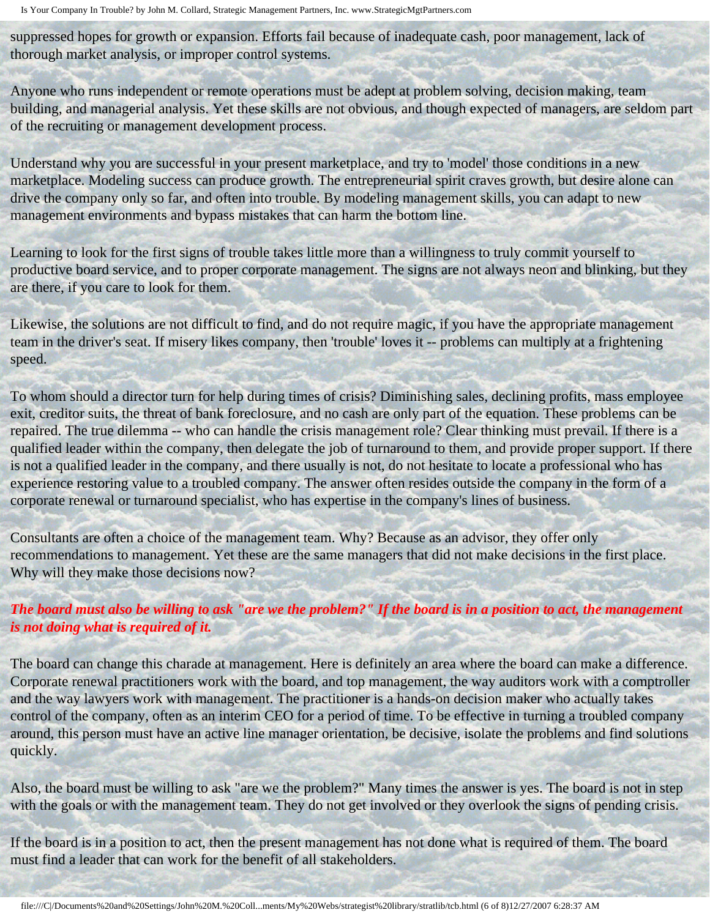suppressed hopes for growth or expansion. Efforts fail because of inadequate cash, poor management, lack of thorough market analysis, or improper control systems.

Anyone who runs independent or remote operations must be adept at problem solving, decision making, team building, and managerial analysis. Yet these skills are not obvious, and though expected of managers, are seldom part of the recruiting or management development process.

Understand why you are successful in your present marketplace, and try to 'model' those conditions in a new marketplace. Modeling success can produce growth. The entrepreneurial spirit craves growth, but desire alone can drive the company only so far, and often into trouble. By modeling management skills, you can adapt to new management environments and bypass mistakes that can harm the bottom line.

Learning to look for the first signs of trouble takes little more than a willingness to truly commit yourself to productive board service, and to proper corporate management. The signs are not always neon and blinking, but they are there, if you care to look for them.

Likewise, the solutions are not difficult to find, and do not require magic, if you have the appropriate management team in the driver's seat. If misery likes company, then 'trouble' loves it -- problems can multiply at a frightening speed.

To whom should a director turn for help during times of crisis? Diminishing sales, declining profits, mass employee exit, creditor suits, the threat of bank foreclosure, and no cash are only part of the equation. These problems can be repaired. The true dilemma -- who can handle the crisis management role? Clear thinking must prevail. If there is a qualified leader within the company, then delegate the job of turnaround to them, and provide proper support. If there is not a qualified leader in the company, and there usually is not, do not hesitate to locate a professional who has experience restoring value to a troubled company. The answer often resides outside the company in the form of a corporate renewal or turnaround specialist, who has expertise in the company's lines of business.

Consultants are often a choice of the management team. Why? Because as an advisor, they offer only recommendations to management. Yet these are the same managers that did not make decisions in the first place. Why will they make those decisions now?

## *The board must also be willing to ask "are we the problem?" If the board is in a position to act, the management is not doing what is required of it.*

The board can change this charade at management. Here is definitely an area where the board can make a difference. Corporate renewal practitioners work with the board, and top management, the way auditors work with a comptroller and the way lawyers work with management. The practitioner is a hands-on decision maker who actually takes control of the company, often as an interim CEO for a period of time. To be effective in turning a troubled company around, this person must have an active line manager orientation, be decisive, isolate the problems and find solutions quickly.

Also, the board must be willing to ask "are we the problem?" Many times the answer is yes. The board is not in step with the goals or with the management team. They do not get involved or they overlook the signs of pending crisis.

If the board is in a position to act, then the present management has not done what is required of them. The board must find a leader that can work for the benefit of all stakeholders.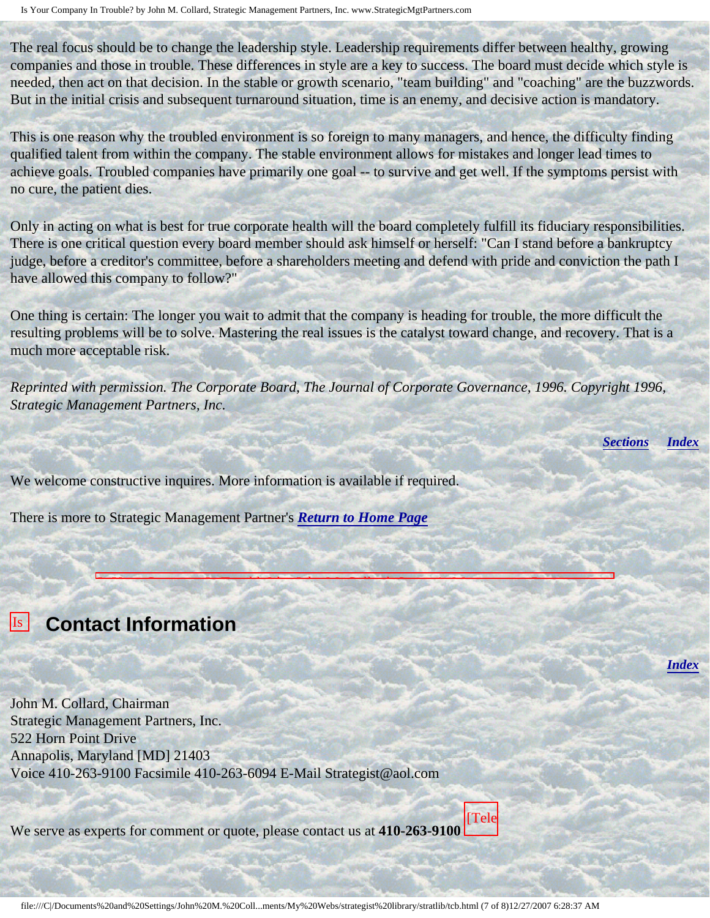Is Your Company In Trouble? by John M. Collard, Strategic Management Partners, Inc. www.StrategicMgtPartners.com

The real focus should be to change the leadership style. Leadership requirements differ between healthy, growing companies and those in trouble. These differences in style are a key to success. The board must decide which style is needed, then act on that decision. In the stable or growth scenario, "team building" and "coaching" are the buzzwords. But in the initial crisis and subsequent turnaround situation, time is an enemy, and decisive action is mandatory.

This is one reason why the troubled environment is so foreign to many managers, and hence, the difficulty finding qualified talent from within the company. The stable environment allows for mistakes and longer lead times to achieve goals. Troubled companies have primarily one goal -- to survive and get well. If the symptoms persist with no cure, the patient dies.

Only in acting on what is best for true corporate health will the board completely fulfill its fiduciary responsibilities. There is one critical question every board member should ask himself or herself: "Can I stand before a bankruptcy judge, before a creditor's committee, before a shareholders meeting and defend with pride and conviction the path I have allowed this company to follow?"

One thing is certain: The longer you wait to admit that the company is heading for trouble, the more difficult the resulting problems will be to solve. Mastering the real issues is the catalyst toward change, and recovery. That is a much more acceptable risk.

*Reprinted with permission. The Corporate Board, The Journal of Corporate Governance, 1996. Copyright 1996, Strategic Management Partners, Inc.*

Is Your Company In Trouble? by John M. Collard, Strategic Management Partners,

Inc., published by The Corporate Board Magazine, The Journal of Corporate

*[Sections](#page-0-2) [Index](#page-0-3)*

*[Index](#page-0-3)*

We welcome constructive inquires. More information is available if required.

There is more to Strategic Management Partner's *[Return to Home Page](http://members.aol.com/strategist/home.html#TOP)*

## <span id="page-6-0"></span>**Example 2** Contact Information Your

Company

Management

published and

by

In

**Trouble?** John M. Collard, Chairman Strategic Management Partners, Inc. 522 Horn Point Drive Annapolis, Maryland [MD] 21403 Voice 410-263-9100 Facsimile 410-263-6094 E-Mail Strategist@aol.com

We serve as experts for comment or quote, please contact us at **410-263-9100** [Tele



file:///C|/Documents%20and%20Settings/John%20M.%20Coll...ments/My%20Webs/strategist%20library/stratlib/tcb.html (7 of 8)12/27/2007 6:28:37 AM